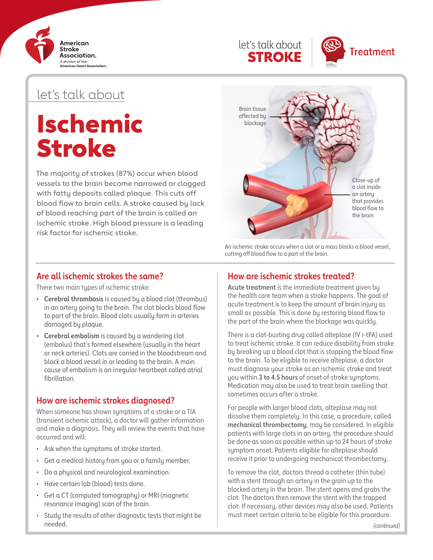





## let's talk about

# Ischemic Stroke

The majority of strokes (87%) occur when blood vessels to the brain become narrowed or clogged with fatty deposits called plaque. This cuts off blood flow to brain cells. A stroke caused by lack of blood reaching part of the brain is called an ischemic stroke. High blood pressure is a leading risk factor for ischemic stroke.



An ischemic stroke occurs when a clot or a mass blocks a blood vessel, cutting off blood flow to a part of the brain.

#### **Are all ischemic strokes the same?**

There two main types of ischemic stroke.

- **• Cerebral thrombosis** is caused by a blood clot (thrombus) in an artery going to the brain. The clot blocks blood flow to part of the brain. Blood clots usually form in arteries damaged by plaque.
- **• Cerebral embolism** is caused by a wandering clot (embolus) that's formed elsewhere (usually in the heart or neck arteries). Clots are carried in the bloodstream and block a blood vessel in or leading to the brain. A main cause of embolism is an irregular heartbeat called atrial fibrillation.

## **How are ischemic strokes diagnosed?**

When someone has shown symptoms of a stroke or a TIA (transient ischemic attack), a doctor will gather information and make a diagnosis. They will review the events that have occurred and will:

- Ask when the symptoms of stroke started.
- Get a medical history from you or a family member.
- Do a physical and neurological examination.
- Have certain lab (blood) tests done.
- Get a CT (computed tomography) or MRI (magnetic resonance imaging) scan of the brain.
- Study the results of other diagnostic tests that might be needed.

## **How are ischemic strokes treated?**

**Acute treatment** is the immediate treatment given by the health care team when a stroke happens. The goal of acute treatment is to keep the amount of brain injury as small as possible. This is done by restoring blood flow to the part of the brain where the blockage was quickly.

There is a clot-busting drug called alteplase (IV r-tPA) used to treat ischemic stroke. It can reduce disability from stroke by breaking up a blood clot that is stopping the blood flow to the brain. To be eligible to receive alteplase, a doctor must diagnose your stroke as an ischemic stroke and treat you within **3 to 4.5 hours** of onset of stroke symptoms. Medication may also be used to treat brain swelling that sometimes occurs after a stroke.

For people with larger blood clots, alteplase may not dissolve them completely. In this case, a procedure, called **mechanical thrombectomy**, may be considered. In eligible patients with large clots in an artery, the procedure should be done as soon as possible within up to 24 hours of stroke symptom onset. Patients eligible for alteplase should receive it prior to undergoing mechanical thrombectomy.

To remove the clot, doctors thread a catheter (thin tube) with a stent through an artery in the groin up to the blocked artery in the brain. The stent opens and grabs the clot. The doctors then remove the stent with the trapped clot. If necessary, other devices may also be used. Patients must meet certain criteria to be eligible for this procedure.